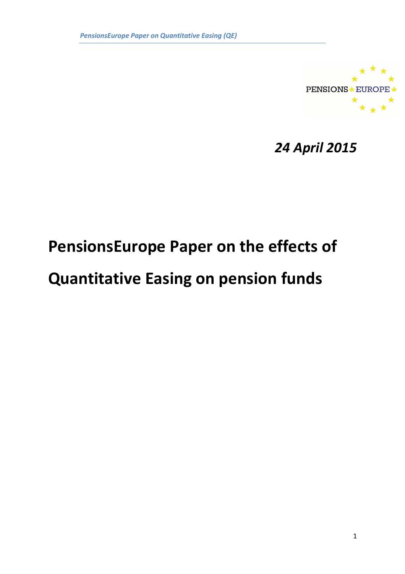

24 April 2015

# PensionsEurope Paper on the effects of

# Quantitative Easing on pension funds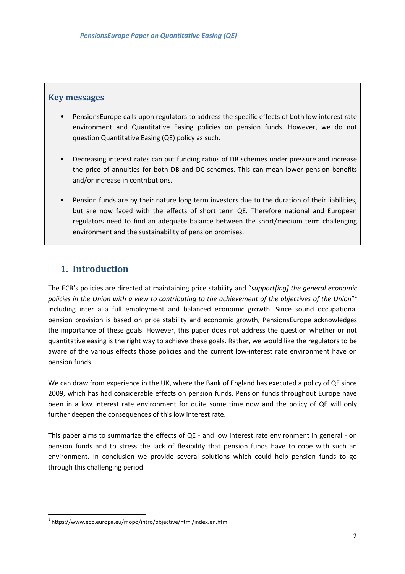### Key messages

- PensionsEurope calls upon regulators to address the specific effects of both low interest rate environment and Quantitative Easing policies on pension funds. However, we do not question Quantitative Easing (QE) policy as such.
- Decreasing interest rates can put funding ratios of DB schemes under pressure and increase the price of annuities for both DB and DC schemes. This can mean lower pension benefits and/or increase in contributions.
- Pension funds are by their nature long term investors due to the duration of their liabilities, but are now faced with the effects of short term QE. Therefore national and European regulators need to find an adequate balance between the short/medium term challenging environment and the sustainability of pension promises.

## 1. Introduction

The ECB's policies are directed at maintaining price stability and "support [ing] the general economic policies in the Union with a view to contributing to the achievement of the objectives of the Union $^{\prime\prime}{}^{1}$ including inter alia full employment and balanced economic growth. Since sound occupational pension provision is based on price stability and economic growth, PensionsEurope acknowledges the importance of these goals. However, this paper does not address the question whether or not quantitative easing is the right way to achieve these goals. Rather, we would like the regulators to be aware of the various effects those policies and the current low-interest rate environment have on pension funds.

We can draw from experience in the UK, where the Bank of England has executed a policy of QE since 2009, which has had considerable effects on pension funds. Pension funds throughout Europe have been in a low interest rate environment for quite some time now and the policy of QE will only further deepen the consequences of this low interest rate.

This paper aims to summarize the effects of QE - and low interest rate environment in general - on pension funds and to stress the lack of flexibility that pension funds have to cope with such an environment. In conclusion we provide several solutions which could help pension funds to go through this challenging period.

 $\overline{\phantom{a}}$ 

<sup>&</sup>lt;sup>1</sup> https://www.ecb.europa.eu/mopo/intro/objective/html/index.en.html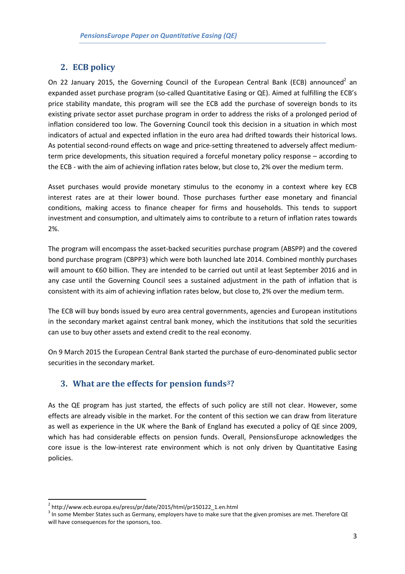### 2. ECB policy

On 22 January 2015, the Governing Council of the European Central Bank (ECB) announced<sup>2</sup> an expanded asset purchase program (so-called Quantitative Easing or QE). Aimed at fulfilling the ECB's price stability mandate, this program will see the ECB add the purchase of sovereign bonds to its existing private sector asset purchase program in order to address the risks of a prolonged period of inflation considered too low. The Governing Council took this decision in a situation in which most indicators of actual and expected inflation in the euro area had drifted towards their historical lows. As potential second-round effects on wage and price-setting threatened to adversely affect mediumterm price developments, this situation required a forceful monetary policy response – according to the ECB - with the aim of achieving inflation rates below, but close to, 2% over the medium term.

Asset purchases would provide monetary stimulus to the economy in a context where key ECB interest rates are at their lower bound. Those purchases further ease monetary and financial conditions, making access to finance cheaper for firms and households. This tends to support investment and consumption, and ultimately aims to contribute to a return of inflation rates towards 2%.

The program will encompass the asset-backed securities purchase program (ABSPP) and the covered bond purchase program (CBPP3) which were both launched late 2014. Combined monthly purchases will amount to €60 billion. They are intended to be carried out until at least September 2016 and in any case until the Governing Council sees a sustained adjustment in the path of inflation that is consistent with its aim of achieving inflation rates below, but close to, 2% over the medium term.

The ECB will buy bonds issued by euro area central governments, agencies and European institutions in the secondary market against central bank money, which the institutions that sold the securities can use to buy other assets and extend credit to the real economy.

On 9 March 2015 the European Central Bank started the purchase of euro-denominated public sector securities in the secondary market.

## 3. What are the effects for pension funds3?

As the QE program has just started, the effects of such policy are still not clear. However, some effects are already visible in the market. For the content of this section we can draw from literature as well as experience in the UK where the Bank of England has executed a policy of QE since 2009, which has had considerable effects on pension funds. Overall, PensionsEurope acknowledges the core issue is the low-interest rate environment which is not only driven by Quantitative Easing policies.

l

<sup>&</sup>lt;sup>2</sup> http://www.ecb.europa.eu/press/pr/date/2015/html/pr150122\_1.en.html

<sup>&</sup>lt;sup>3</sup> In some Member States such as Germany, employers have to make sure that the given promises are met. Therefore QE will have consequences for the sponsors, too.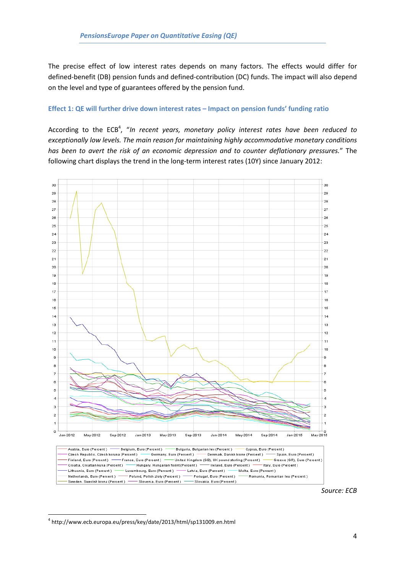The precise effect of low interest rates depends on many factors. The effects would differ for defined-benefit (DB) pension funds and defined-contribution (DC) funds. The impact will also depend on the level and type of guarantees offered by the pension fund.

#### Effect 1: QE will further drive down interest rates – Impact on pension funds' funding ratio

According to the  $ECB<sup>4</sup>$ , "In recent years, monetary policy interest rates have been reduced to exceptionally low levels. The main reason for maintaining highly accommodative monetary conditions has been to avert the risk of an economic depression and to counter deflationary pressures." The following chart displays the trend in the long-term interest rates (10Y) since January 2012:



Source: ECB

 $\overline{\phantom{a}}$ 

<sup>4</sup> http://www.ecb.europa.eu/press/key/date/2013/html/sp131009.en.html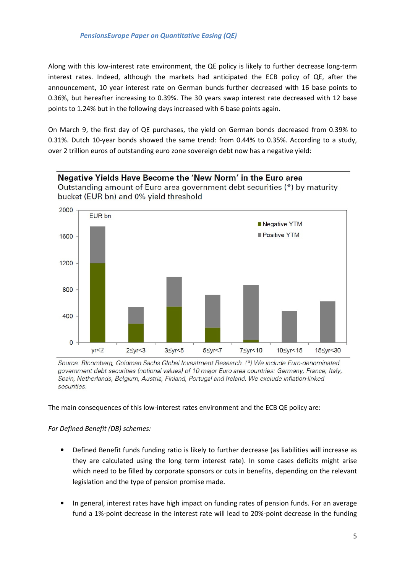Along with this low-interest rate environment, the QE policy is likely to further decrease long-term interest rates. Indeed, although the markets had anticipated the ECB policy of QE, after the announcement, 10 year interest rate on German bunds further decreased with 16 base points to 0.36%, but hereafter increasing to 0.39%. The 30 years swap interest rate decreased with 12 base points to 1.24% but in the following days increased with 6 base points again.

On March 9, the first day of QE purchases, the yield on German bonds decreased from 0.39% to 0.31%. Dutch 10-year bonds showed the same trend: from 0.44% to 0.35%. According to a study, over 2 trillion euros of outstanding euro zone sovereign debt now has a negative yield:

#### Negative Yields Have Become the 'New Norm' in the Euro area

Outstanding amount of Euro area government debt securities (\*) by maturity bucket (EUR bn) and 0% yield threshold



Source: Bloomberg, Goldman Sachs Global Investment Research. (\*) We include Euro-denominated government debt securities (notional values) of 10 major Euro area countries: Germany, France, Italy, Spain, Netherlands, Belgium, Austria, Finland, Portugal and Ireland. We exclude inflation-linked securities.

The main consequences of this low-interest rates environment and the ECB QE policy are:

For Defined Benefit (DB) schemes:

- Defined Benefit funds funding ratio is likely to further decrease (as liabilities will increase as they are calculated using the long term interest rate). In some cases deficits might arise which need to be filled by corporate sponsors or cuts in benefits, depending on the relevant legislation and the type of pension promise made.
- In general, interest rates have high impact on funding rates of pension funds. For an average fund a 1%-point decrease in the interest rate will lead to 20%-point decrease in the funding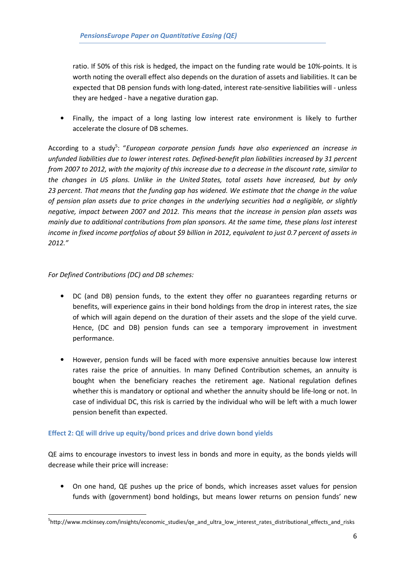ratio. If 50% of this risk is hedged, the impact on the funding rate would be 10%-points. It is worth noting the overall effect also depends on the duration of assets and liabilities. It can be expected that DB pension funds with long-dated, interest rate-sensitive liabilities will - unless they are hedged - have a negative duration gap.

• Finally, the impact of a long lasting low interest rate environment is likely to further accelerate the closure of DB schemes.

According to a study<sup>5</sup>: "European corporate pension funds have also experienced an increase in unfunded liabilities due to lower interest rates. Defined-benefit plan liabilities increased by 31 percent from 2007 to 2012, with the majority of this increase due to a decrease in the discount rate, similar to the changes in US plans. Unlike in the United States, total assets have increased, but by only 23 percent. That means that the funding gap has widened. We estimate that the change in the value of pension plan assets due to price changes in the underlying securities had a negligible, or slightly negative, impact between 2007 and 2012. This means that the increase in pension plan assets was mainly due to additional contributions from plan sponsors. At the same time, these plans lost interest income in fixed income portfolios of about \$9 billion in 2012, equivalent to just 0.7 percent of assets in 2012."

#### For Defined Contributions (DC) and DB schemes:

 $\overline{\phantom{a}}$ 

- DC (and DB) pension funds, to the extent they offer no guarantees regarding returns or benefits, will experience gains in their bond holdings from the drop in interest rates, the size of which will again depend on the duration of their assets and the slope of the yield curve. Hence, (DC and DB) pension funds can see a temporary improvement in investment performance.
- However, pension funds will be faced with more expensive annuities because low interest rates raise the price of annuities. In many Defined Contribution schemes, an annuity is bought when the beneficiary reaches the retirement age. National regulation defines whether this is mandatory or optional and whether the annuity should be life-long or not. In case of individual DC, this risk is carried by the individual who will be left with a much lower pension benefit than expected.

#### Effect 2: QE will drive up equity/bond prices and drive down bond yields

QE aims to encourage investors to invest less in bonds and more in equity, as the bonds yields will decrease while their price will increase:

• On one hand, QE pushes up the price of bonds, which increases asset values for pension funds with (government) bond holdings, but means lower returns on pension funds' new

<sup>&</sup>lt;sup>5</sup>http://www.mckinsey.com/insights/economic\_studies/qe\_and\_ultra\_low\_interest\_rates\_distributional\_effects\_and\_risks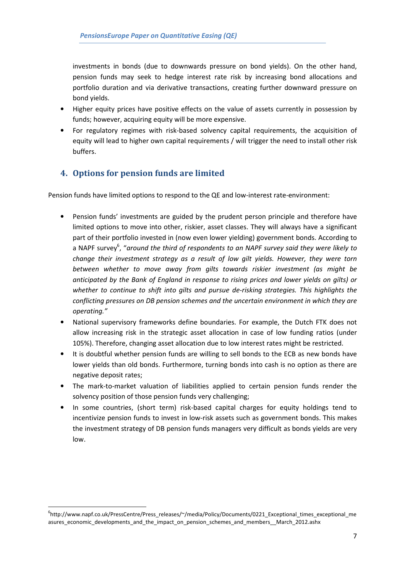investments in bonds (due to downwards pressure on bond yields). On the other hand, pension funds may seek to hedge interest rate risk by increasing bond allocations and portfolio duration and via derivative transactions, creating further downward pressure on bond yields.

- Higher equity prices have positive effects on the value of assets currently in possession by funds; however, acquiring equity will be more expensive.
- For regulatory regimes with risk-based solvency capital requirements, the acquisition of equity will lead to higher own capital requirements / will trigger the need to install other risk buffers.

## 4. Options for pension funds are limited

Pension funds have limited options to respond to the QE and low-interest rate-environment:

- Pension funds' investments are guided by the prudent person principle and therefore have limited options to move into other, riskier, asset classes. They will always have a significant part of their portfolio invested in (now even lower yielding) government bonds. According to a NAPF survey<sup>6</sup>, "around the third of respondents to an NAPF survey said they were likely to change their investment strategy as a result of low gilt yields. However, they were torn between whether to move away from gilts towards riskier investment (as might be anticipated by the Bank of England in response to rising prices and lower yields on gilts) or whether to continue to shift into gilts and pursue de-risking strategies. This highlights the conflicting pressures on DB pension schemes and the uncertain environment in which they are operating."
- National supervisory frameworks define boundaries. For example, the Dutch FTK does not allow increasing risk in the strategic asset allocation in case of low funding ratios (under 105%). Therefore, changing asset allocation due to low interest rates might be restricted.
- It is doubtful whether pension funds are willing to sell bonds to the ECB as new bonds have lower yields than old bonds. Furthermore, turning bonds into cash is no option as there are negative deposit rates;
- The mark-to-market valuation of liabilities applied to certain pension funds render the solvency position of those pension funds very challenging;
- In some countries, (short term) risk-based capital charges for equity holdings tend to incentivize pension funds to invest in low-risk assets such as government bonds. This makes the investment strategy of DB pension funds managers very difficult as bonds yields are very low.

l

<sup>6</sup> http://www.napf.co.uk/PressCentre/Press\_releases/~/media/Policy/Documents/0221\_Exceptional\_times\_exceptional\_me asures\_economic\_developments\_and\_the\_impact\_on\_pension\_schemes\_and\_members\_\_March\_2012.ashx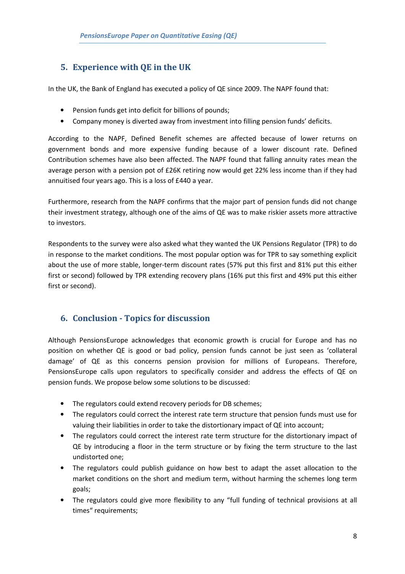## 5. Experience with QE in the UK

In the UK, the Bank of England has executed a policy of QE since 2009. The NAPF found that:

- Pension funds get into deficit for billions of pounds;
- Company money is diverted away from investment into filling pension funds' deficits.

According to the NAPF, Defined Benefit schemes are affected because of lower returns on government bonds and more expensive funding because of a lower discount rate. Defined Contribution schemes have also been affected. The NAPF found that falling annuity rates mean the average person with a pension pot of £26K retiring now would get 22% less income than if they had annuitised four years ago. This is a loss of £440 a year.

Furthermore, research from the NAPF confirms that the major part of pension funds did not change their investment strategy, although one of the aims of QE was to make riskier assets more attractive to investors.

Respondents to the survey were also asked what they wanted the UK Pensions Regulator (TPR) to do in response to the market conditions. The most popular option was for TPR to say something explicit about the use of more stable, longer-term discount rates (57% put this first and 81% put this either first or second) followed by TPR extending recovery plans (16% put this first and 49% put this either first or second).

## 6. Conclusion - Topics for discussion

Although PensionsEurope acknowledges that economic growth is crucial for Europe and has no position on whether QE is good or bad policy, pension funds cannot be just seen as 'collateral damage' of QE as this concerns pension provision for millions of Europeans. Therefore, PensionsEurope calls upon regulators to specifically consider and address the effects of QE on pension funds. We propose below some solutions to be discussed:

- The regulators could extend recovery periods for DB schemes;
- The regulators could correct the interest rate term structure that pension funds must use for valuing their liabilities in order to take the distortionary impact of QE into account;
- The regulators could correct the interest rate term structure for the distortionary impact of QE by introducing a floor in the term structure or by fixing the term structure to the last undistorted one;
- The regulators could publish guidance on how best to adapt the asset allocation to the market conditions on the short and medium term, without harming the schemes long term goals;
- The regulators could give more flexibility to any "full funding of technical provisions at all times" requirements;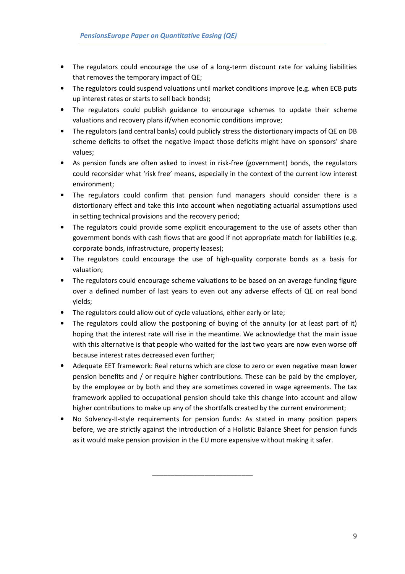- The regulators could encourage the use of a long-term discount rate for valuing liabilities that removes the temporary impact of QE;
- The regulators could suspend valuations until market conditions improve (e.g. when ECB puts up interest rates or starts to sell back bonds);
- The regulators could publish guidance to encourage schemes to update their scheme valuations and recovery plans if/when economic conditions improve;
- The regulators (and central banks) could publicly stress the distortionary impacts of QE on DB scheme deficits to offset the negative impact those deficits might have on sponsors' share values;
- As pension funds are often asked to invest in risk-free (government) bonds, the regulators could reconsider what 'risk free' means, especially in the context of the current low interest environment;
- The regulators could confirm that pension fund managers should consider there is a distortionary effect and take this into account when negotiating actuarial assumptions used in setting technical provisions and the recovery period;
- The regulators could provide some explicit encouragement to the use of assets other than government bonds with cash flows that are good if not appropriate match for liabilities (e.g. corporate bonds, infrastructure, property leases);
- The regulators could encourage the use of high-quality corporate bonds as a basis for valuation;
- The regulators could encourage scheme valuations to be based on an average funding figure over a defined number of last years to even out any adverse effects of QE on real bond yields;
- The regulators could allow out of cycle valuations, either early or late;
- The regulators could allow the postponing of buying of the annuity (or at least part of it) hoping that the interest rate will rise in the meantime. We acknowledge that the main issue with this alternative is that people who waited for the last two years are now even worse off because interest rates decreased even further;
- Adequate EET framework: Real returns which are close to zero or even negative mean lower pension benefits and / or require higher contributions. These can be paid by the employer, by the employee or by both and they are sometimes covered in wage agreements. The tax framework applied to occupational pension should take this change into account and allow higher contributions to make up any of the shortfalls created by the current environment;
- No Solvency-II-style requirements for pension funds: As stated in many position papers before, we are strictly against the introduction of a Holistic Balance Sheet for pension funds as it would make pension provision in the EU more expensive without making it safer.

\_\_\_\_\_\_\_\_\_\_\_\_\_\_\_\_\_\_\_\_\_\_\_\_\_\_\_